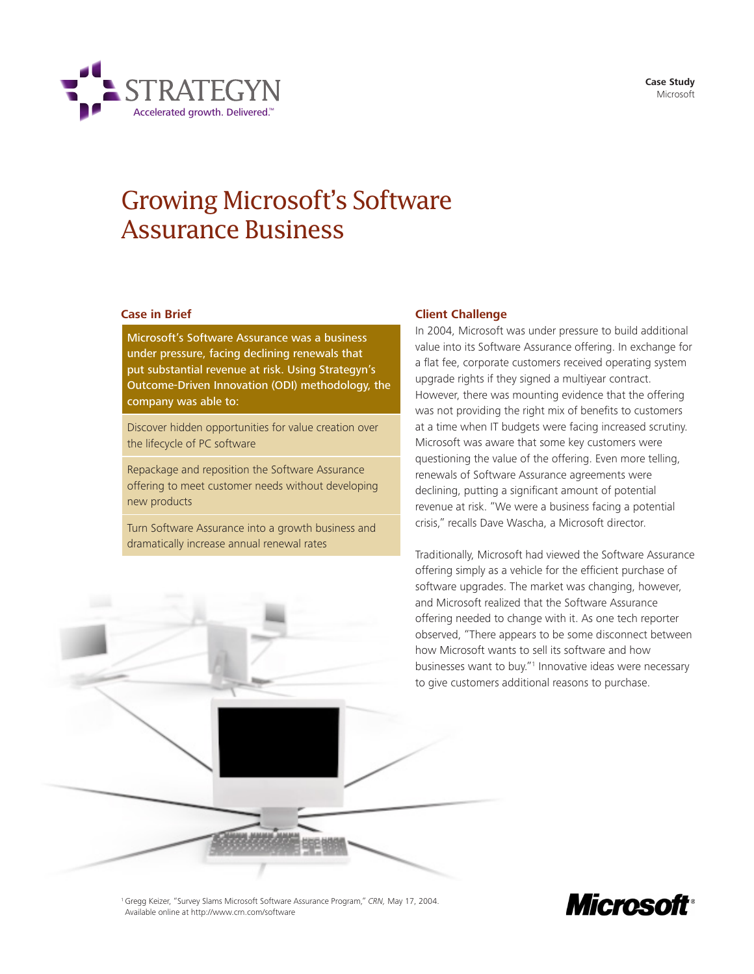**Case Study** Microsoft



# Growing Microsoft's Software Assurance Business

# **Case in Brief**

Microsoft's Software Assurance was a business under pressure, facing declining renewals that put substantial revenue at risk. Using Strategyn's Outcome-Driven Innovation (ODI) methodology, the company was able to:

Discover hidden opportunities for value creation over the lifecycle of PC software

Repackage and reposition the Software Assurance offering to meet customer needs without developing new products

Turn Software Assurance into a growth business and dramatically increase annual renewal rates

## **Client Challenge**

In 2004, Microsoft was under pressure to build additional value into its Software Assurance offering. In exchange for a flat fee, corporate customers received operating system upgrade rights if they signed a multiyear contract. However, there was mounting evidence that the offering was not providing the right mix of benefits to customers at a time when IT budgets were facing increased scrutiny. Microsoft was aware that some key customers were questioning the value of the offering. Even more telling, renewals of Software Assurance agreements were declining, putting a significant amount of potential revenue at risk. "We were a business facing a potential crisis," recalls Dave Wascha, a Microsoft director.

Traditionally, Microsoft had viewed the Software Assurance offering simply as a vehicle for the efficient purchase of software upgrades. The market was changing, however, and Microsoft realized that the Software Assurance offering needed to change with it. As one tech reporter observed, "There appears to be some disconnect between how Microsoft wants to sell its software and how businesses want to buy."<sup>1</sup> Innovative ideas were necessary to give customers additional reasons to purchase.

<sup>1</sup> Gregg Keizer, "Survey Slams Microsoft Software Assurance Program," CRN, May 17, 2004. Available online at http://www.crn.com/software

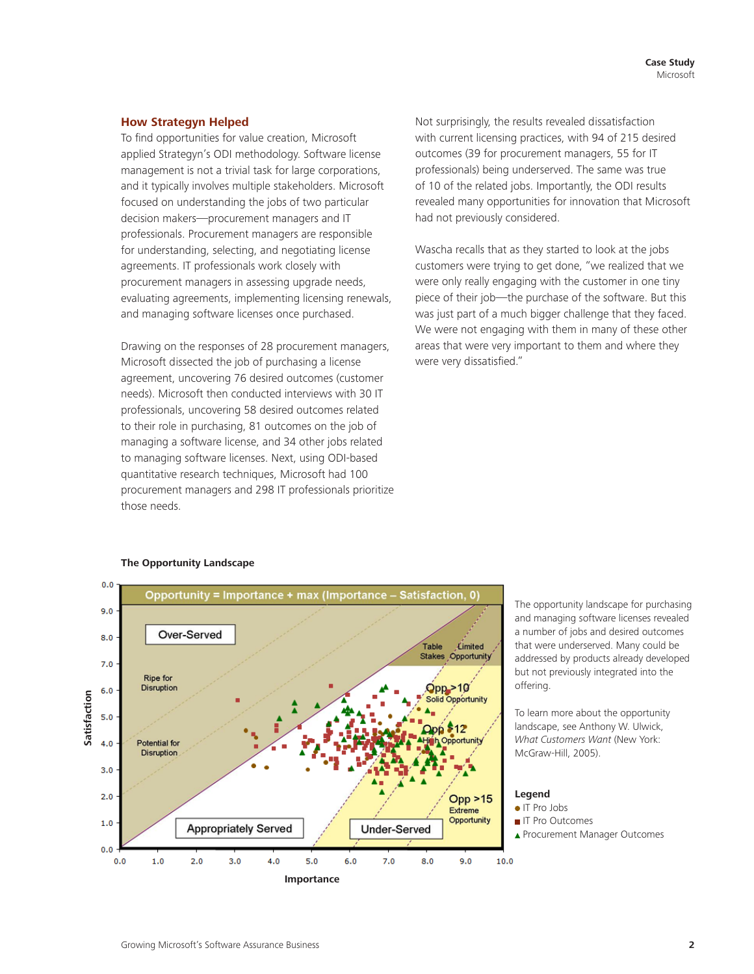## **How Strategyn Helped**

To find opportunities for value creation, Microsoft applied Strategyn's ODI methodology. Software license management is not a trivial task for large corporations, and it typically involves multiple stakeholders. Microsoft focused on understanding the jobs of two particular decision makers—procurement managers and IT professionals. Procurement managers are responsible for understanding, selecting, and negotiating license agreements. IT professionals work closely with procurement managers in assessing upgrade needs, evaluating agreements, implementing licensing renewals, and managing software licenses once purchased.

Drawing on the responses of 28 procurement managers, Microsoft dissected the job of purchasing a license agreement, uncovering 76 desired outcomes (customer needs). Microsoft then conducted interviews with 30 IT professionals, uncovering 58 desired outcomes related to their role in purchasing, 81 outcomes on the job of managing a software license, and 34 other jobs related to managing software licenses. Next, using ODI-based quantitative research techniques, Microsoft had 100 procurement managers and 298 IT professionals prioritize those needs.

Not surprisingly, the results revealed dissatisfaction with current licensing practices, with 94 of 215 desired outcomes (39 for procurement managers, 55 for IT professionals) being underserved. The same was true of 10 of the related jobs. Importantly, the ODI results revealed many opportunities for innovation that Microsoft had not previously considered.

Wascha recalls that as they started to look at the jobs customers were trying to get done, "we realized that we were only really engaging with the customer in one tiny piece of their job—the purchase of the software. But this was just part of a much bigger challenge that they faced. We were not engaging with them in many of these other areas that were very important to them and where they were very dissatisfied."



**The Opportunity Landscape**

The opportunity landscape for purchasing and managing software licenses revealed a number of jobs and desired outcomes that were underserved. Many could be addressed by products already developed but not previously integrated into the offering.

To learn more about the opportunity landscape, see Anthony W. Ulwick, What Customers Want (New York: McGraw-Hill, 2005).

# **Legend**

- IT Pro Jobs
- **IT Pro Outcomes**
- ▲ Procurement Manager Outcomes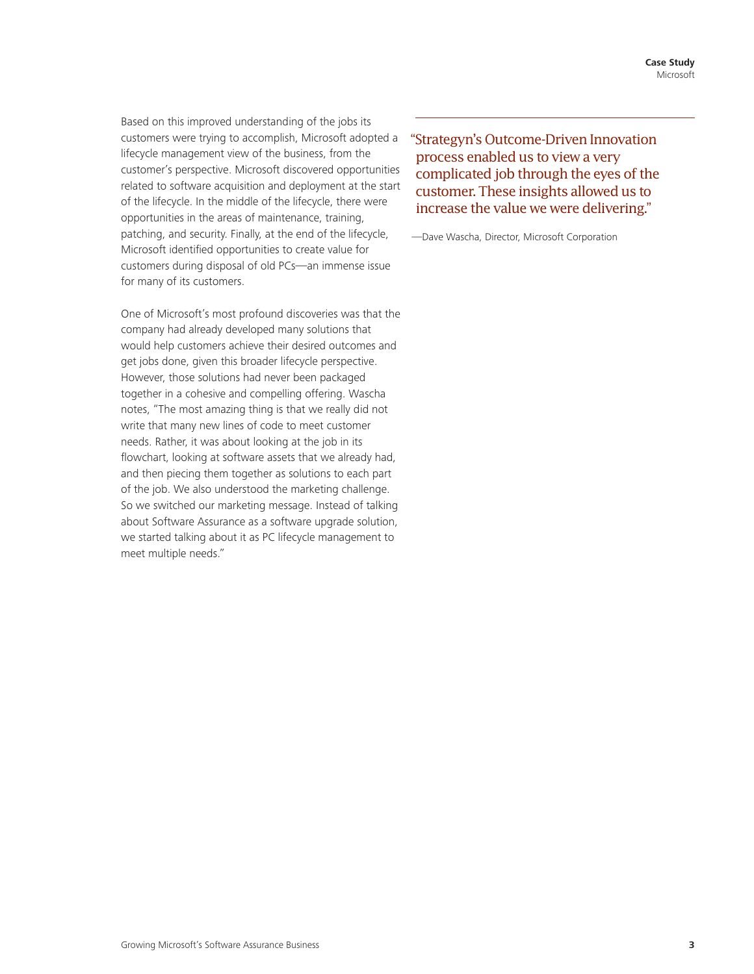Based on this improved understanding of the jobs its customers were trying to accomplish, Microsoft adopted a lifecycle management view of the business, from the customer's perspective. Microsoft discovered opportunities related to software acquisition and deployment at the start of the lifecycle. In the middle of the lifecycle, there were opportunities in the areas of maintenance, training, patching, and security. Finally, at the end of the lifecycle, Microsoft identified opportunities to create value for customers during disposal of old PCs—an immense issue for many of its customers.

One of Microsoft's most profound discoveries was that the company had already developed many solutions that would help customers achieve their desired outcomes and get jobs done, given this broader lifecycle perspective. However, those solutions had never been packaged together in a cohesive and compelling offering. Wascha notes, "The most amazing thing is that we really did not write that many new lines of code to meet customer needs. Rather, it was about looking at the job in its flowchart, looking at software assets that we already had, and then piecing them together as solutions to each part of the job. We also understood the marketing challenge. So we switched our marketing message. Instead of talking about Software Assurance as a software upgrade solution, we started talking about it as PC lifecycle management to meet multiple needs."

"Strategyn's Outcome-Driven Innovation process enabled us to view a very complicated job through the eyes of the customer. These insights allowed us to increase the value we were delivering."

—Dave Wascha, Director, Microsoft Corporation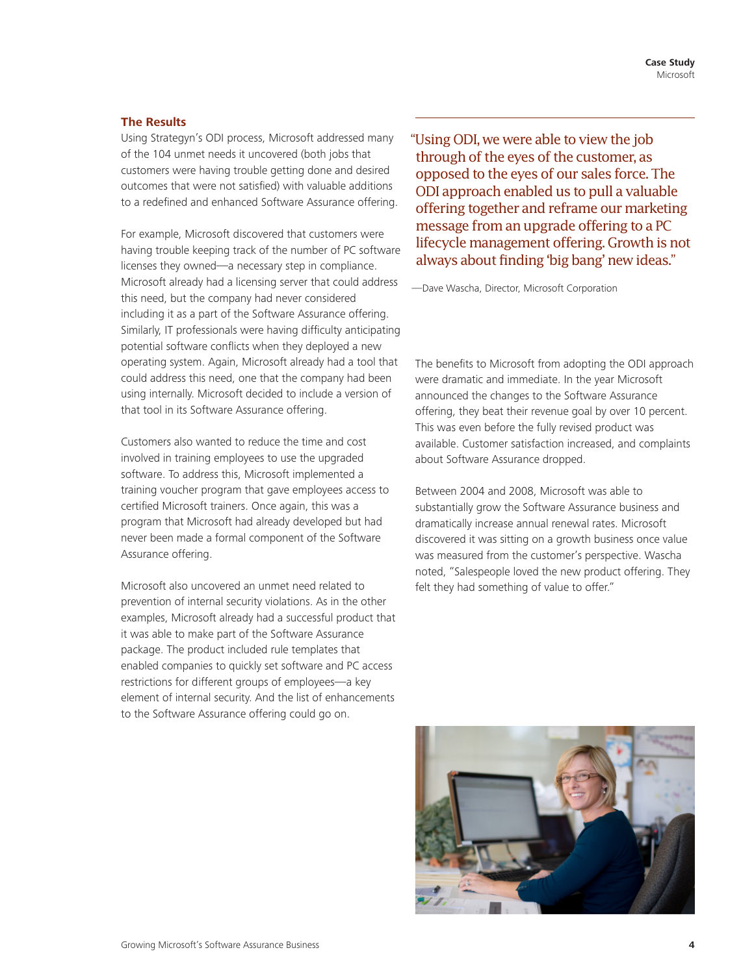# **The Results**

Using Strategyn's ODI process, Microsoft addressed many of the 104 unmet needs it uncovered (both jobs that customers were having trouble getting done and desired outcomes that were not satisfied) with valuable additions to a redefined and enhanced Software Assurance offering.

For example, Microsoft discovered that customers were having trouble keeping track of the number of PC software licenses they owned—a necessary step in compliance. Microsoft already had a licensing server that could address this need, but the company had never considered including it as a part of the Software Assurance offering. Similarly, IT professionals were having difficulty anticipating potential software conflicts when they deployed a new operating system. Again, Microsoft already had a tool that could address this need, one that the company had been using internally. Microsoft decided to include a version of that tool in its Software Assurance offering.

Customers also wanted to reduce the time and cost involved in training employees to use the upgraded software. To address this, Microsoft implemented a training voucher program that gave employees access to certified Microsoft trainers. Once again, this was a program that Microsoft had already developed but had never been made a formal component of the Software Assurance offering.

Microsoft also uncovered an unmet need related to prevention of internal security violations. As in the other examples, Microsoft already had a successful product that it was able to make part of the Software Assurance package. The product included rule templates that enabled companies to quickly set software and PC access restrictions for different groups of employees—a key element of internal security. And the list of enhancements to the Software Assurance offering could go on.

"Using ODI, we were able to view the job through of the eyes of the customer, as opposed to the eyes of our sales force. The ODI approach enabled us to pull a valuable offering together and reframe our marketing message from an upgrade offering to a PC lifecycle management offering. Growth is not always about finding 'big bang' new ideas."

—Dave Wascha, Director, Microsoft Corporation

The benefits to Microsoft from adopting the ODI approach were dramatic and immediate. In the year Microsoft announced the changes to the Software Assurance offering, they beat their revenue goal by over 10 percent. This was even before the fully revised product was available. Customer satisfaction increased, and complaints about Software Assurance dropped.

Between 2004 and 2008, Microsoft was able to substantially grow the Software Assurance business and dramatically increase annual renewal rates. Microsoft discovered it was sitting on a growth business once value was measured from the customer's perspective. Wascha noted, "Salespeople loved the new product offering. They felt they had something of value to offer."